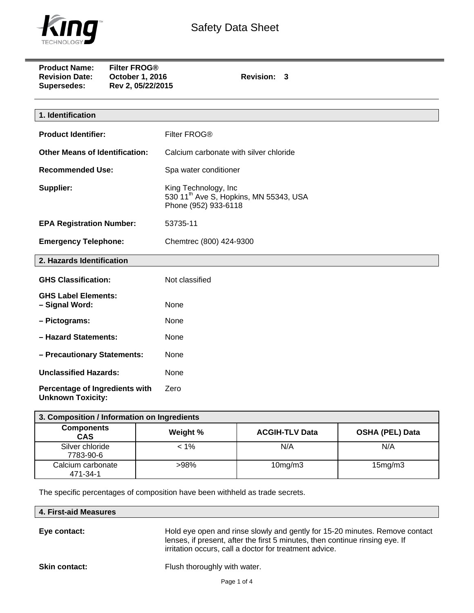

| <b>Product Name:</b><br><b>Revision Date:</b><br>Supersedes: | <b>Filter FROG®</b><br>October 1, 2016<br>Rev 2, 05/22/2015 | Revision: 3                                                                                        |  |  |
|--------------------------------------------------------------|-------------------------------------------------------------|----------------------------------------------------------------------------------------------------|--|--|
|                                                              |                                                             |                                                                                                    |  |  |
| 1. Identification                                            |                                                             |                                                                                                    |  |  |
| <b>Product Identifier:</b>                                   |                                                             | Filter FROG®                                                                                       |  |  |
| <b>Other Means of Identification:</b>                        |                                                             | Calcium carbonate with silver chloride                                                             |  |  |
| <b>Recommended Use:</b>                                      |                                                             | Spa water conditioner                                                                              |  |  |
| Supplier:                                                    |                                                             | King Technology, Inc<br>530 11 <sup>th</sup> Ave S, Hopkins, MN 55343, USA<br>Phone (952) 933-6118 |  |  |
| <b>EPA Registration Number:</b>                              |                                                             | 53735-11                                                                                           |  |  |
| <b>Emergency Telephone:</b>                                  |                                                             | Chemtrec (800) 424-9300                                                                            |  |  |
| 2. Hazards Identification                                    |                                                             |                                                                                                    |  |  |
| <b>GHS Classification:</b>                                   |                                                             | Not classified                                                                                     |  |  |
| <b>GHS Label Elements:</b><br>- Signal Word:                 |                                                             | None                                                                                               |  |  |
| - Pictograms:                                                |                                                             | None                                                                                               |  |  |
| - Hazard Statements:                                         |                                                             | None                                                                                               |  |  |
| - Precautionary Statements:                                  |                                                             | None                                                                                               |  |  |
| <b>Unclassified Hazards:</b>                                 |                                                             | None                                                                                               |  |  |
| Percentage of Ingredients with<br><b>Unknown Toxicity:</b>   |                                                             | Zero                                                                                               |  |  |

| 3. Composition / Information on Ingredients |          |                       |                        |  |  |  |
|---------------------------------------------|----------|-----------------------|------------------------|--|--|--|
| <b>Components</b><br><b>CAS</b>             | Weight % | <b>ACGIH-TLV Data</b> | <b>OSHA (PEL) Data</b> |  |  |  |
| Silver chloride<br>7783-90-6                | $< 1\%$  | N/A                   | N/A                    |  |  |  |
| Calcium carbonate<br>471-34-1               | $>98\%$  | $10$ mg/m $3$         | 15mg/m3                |  |  |  |

The specific percentages of composition have been withheld as trade secrets.

| 4. First-aid Measures |
|-----------------------|
|-----------------------|

**Eye contact:** Hold eye open and rinse slowly and gently for 15-20 minutes. Remove contact lenses, if present, after the first 5 minutes, then continue rinsing eye. If irritation occurs, call a doctor for treatment advice.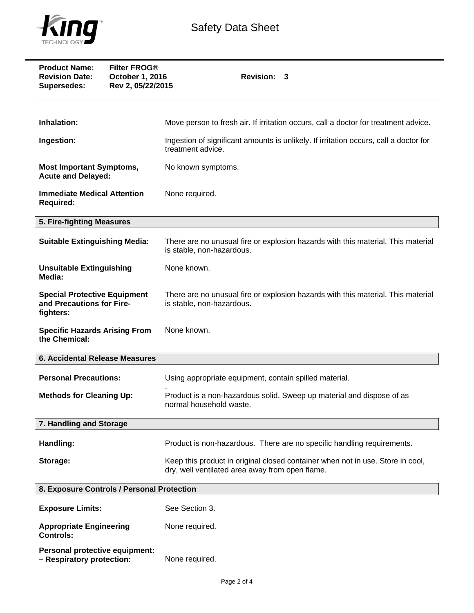

| <b>Filter FROG®</b><br><b>Product Name:</b><br><b>Revision Date:</b><br>October 1, 2016<br>Rev 2, 05/22/2015<br>Supersedes: | Revision: 3                                                                                                                       |  |
|-----------------------------------------------------------------------------------------------------------------------------|-----------------------------------------------------------------------------------------------------------------------------------|--|
| Inhalation:                                                                                                                 | Move person to fresh air. If irritation occurs, call a doctor for treatment advice.                                               |  |
| Ingestion:                                                                                                                  | Ingestion of significant amounts is unlikely. If irritation occurs, call a doctor for<br>treatment advice.                        |  |
| <b>Most Important Symptoms,</b><br><b>Acute and Delayed:</b>                                                                | No known symptoms.                                                                                                                |  |
| <b>Immediate Medical Attention</b><br><b>Required:</b>                                                                      | None required.                                                                                                                    |  |
| 5. Fire-fighting Measures                                                                                                   |                                                                                                                                   |  |
| <b>Suitable Extinguishing Media:</b>                                                                                        | There are no unusual fire or explosion hazards with this material. This material<br>is stable, non-hazardous.                     |  |
| <b>Unsuitable Extinguishing</b><br>Media:                                                                                   | None known.                                                                                                                       |  |
| <b>Special Protective Equipment</b><br>and Precautions for Fire-<br>fighters:                                               | There are no unusual fire or explosion hazards with this material. This material<br>is stable, non-hazardous.                     |  |
| <b>Specific Hazards Arising From</b><br>the Chemical:                                                                       | None known.                                                                                                                       |  |
| <b>6. Accidental Release Measures</b>                                                                                       |                                                                                                                                   |  |
| <b>Personal Precautions:</b>                                                                                                | Using appropriate equipment, contain spilled material.                                                                            |  |
| <b>Methods for Cleaning Up:</b>                                                                                             | Product is a non-hazardous solid. Sweep up material and dispose of as<br>normal household waste.                                  |  |
| 7. Handling and Storage                                                                                                     |                                                                                                                                   |  |
| Handling:                                                                                                                   | Product is non-hazardous. There are no specific handling requirements.                                                            |  |
| Storage:                                                                                                                    | Keep this product in original closed container when not in use. Store in cool,<br>dry, well ventilated area away from open flame. |  |
| 8. Exposure Controls / Personal Protection                                                                                  |                                                                                                                                   |  |
| <b>Exposure Limits:</b>                                                                                                     | See Section 3.                                                                                                                    |  |
| <b>Appropriate Engineering</b><br><b>Controls:</b>                                                                          | None required.                                                                                                                    |  |
| Personal protective equipment:                                                                                              |                                                                                                                                   |  |

**– Respiratory protection:** None required.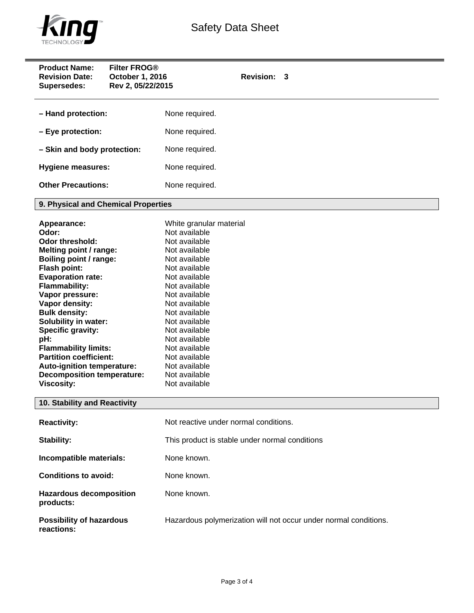

| <b>Product Name:</b><br><b>Filter FROG®</b><br><b>Revision Date:</b><br>October 1, 2016<br>Rev 2, 05/22/2015<br>Supersedes:                                                                                                                                                                                                                                                                                                | Revision: 3                                                                                                                                                                                                                                                                                                              |  |  |
|----------------------------------------------------------------------------------------------------------------------------------------------------------------------------------------------------------------------------------------------------------------------------------------------------------------------------------------------------------------------------------------------------------------------------|--------------------------------------------------------------------------------------------------------------------------------------------------------------------------------------------------------------------------------------------------------------------------------------------------------------------------|--|--|
| - Hand protection:                                                                                                                                                                                                                                                                                                                                                                                                         | None required.                                                                                                                                                                                                                                                                                                           |  |  |
| - Eye protection:                                                                                                                                                                                                                                                                                                                                                                                                          | None required.                                                                                                                                                                                                                                                                                                           |  |  |
| - Skin and body protection:                                                                                                                                                                                                                                                                                                                                                                                                | None required.                                                                                                                                                                                                                                                                                                           |  |  |
| <b>Hygiene measures:</b>                                                                                                                                                                                                                                                                                                                                                                                                   | None required.                                                                                                                                                                                                                                                                                                           |  |  |
| <b>Other Precautions:</b>                                                                                                                                                                                                                                                                                                                                                                                                  | None required.                                                                                                                                                                                                                                                                                                           |  |  |
| 9. Physical and Chemical Properties                                                                                                                                                                                                                                                                                                                                                                                        |                                                                                                                                                                                                                                                                                                                          |  |  |
| Appearance:<br>Odor:<br><b>Odor threshold:</b><br>Melting point / range:<br>Boiling point / range:<br>Flash point:<br><b>Evaporation rate:</b><br><b>Flammability:</b><br>Vapor pressure:<br>Vapor density:<br><b>Bulk density:</b><br>Solubility in water:<br>Specific gravity:<br>pH:<br><b>Flammability limits:</b><br><b>Partition coefficient:</b><br>Auto-ignition temperature:<br><b>Decomposition temperature:</b> | White granular material<br>Not available<br>Not available<br>Not available<br>Not available<br>Not available<br>Not available<br>Not available<br>Not available<br>Not available<br>Not available<br>Not available<br>Not available<br>Not available<br>Not available<br>Not available<br>Not available<br>Not available |  |  |
| <b>Viscosity:</b><br>Not available<br>10. Stability and Reactivity                                                                                                                                                                                                                                                                                                                                                         |                                                                                                                                                                                                                                                                                                                          |  |  |
| <b>Reactivity:</b>                                                                                                                                                                                                                                                                                                                                                                                                         | Not reactive under normal conditions.                                                                                                                                                                                                                                                                                    |  |  |
| Stability:                                                                                                                                                                                                                                                                                                                                                                                                                 | This product is stable under normal conditions                                                                                                                                                                                                                                                                           |  |  |
| Incompatible materials:                                                                                                                                                                                                                                                                                                                                                                                                    | None known.                                                                                                                                                                                                                                                                                                              |  |  |
| <b>Conditions to avoid:</b>                                                                                                                                                                                                                                                                                                                                                                                                | None known.                                                                                                                                                                                                                                                                                                              |  |  |
| <b>Hazardous decomposition</b><br>products:                                                                                                                                                                                                                                                                                                                                                                                | None known.                                                                                                                                                                                                                                                                                                              |  |  |
| <b>Possibility of hazardous</b><br>reactions:                                                                                                                                                                                                                                                                                                                                                                              | Hazardous polymerization will not occur under normal conditions.                                                                                                                                                                                                                                                         |  |  |